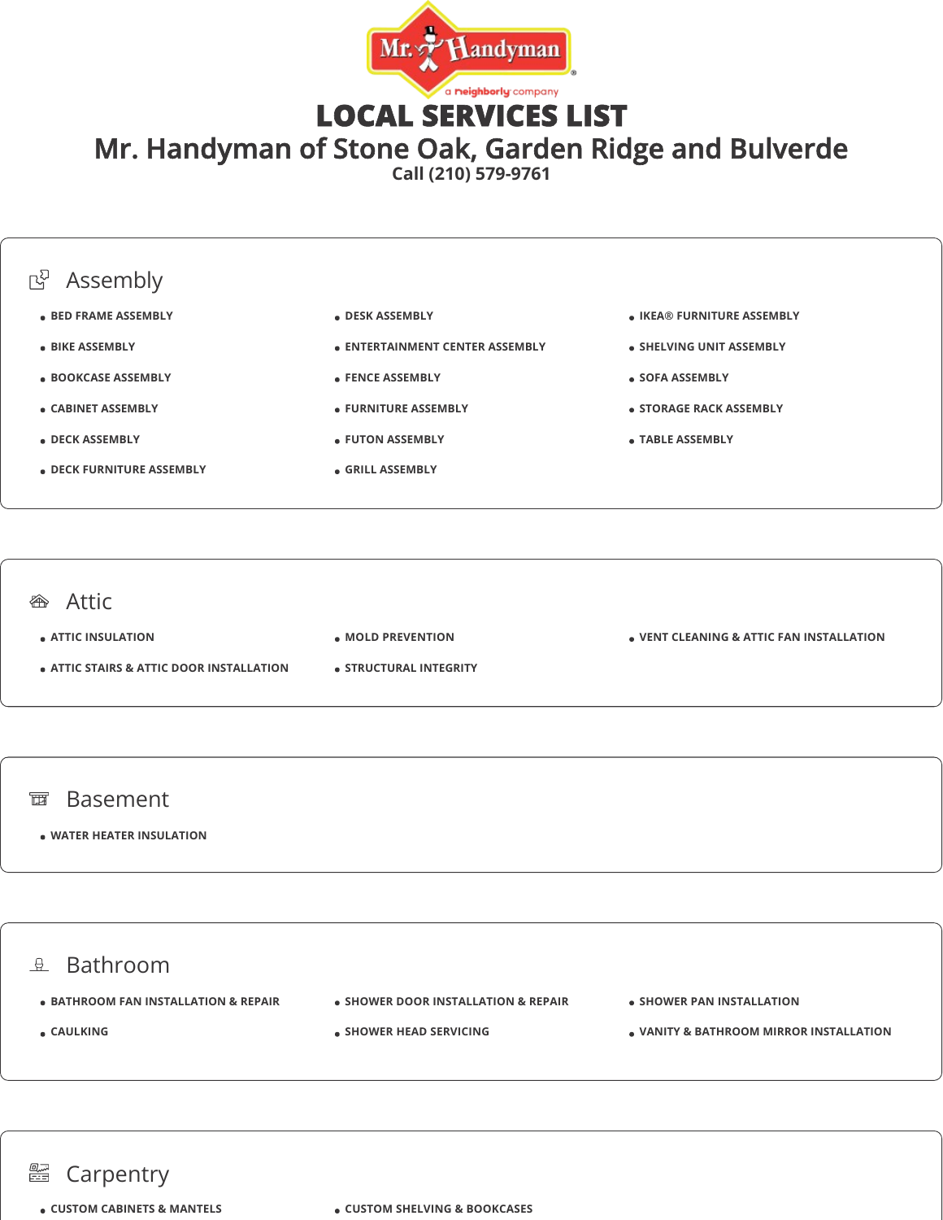

LOCAL SERVICES LIST

Mr. Handyman of Stone Oak, Garden Ridge and Bulverde

**Call (210) 579-9761**



## **<sup>企</sup>**Attic

**ATTIC INSULATION**

- **ATTIC STAIRS & ATTIC DOOR INSTALLATION**
- **MOLD PREVENTION**
- **STRUCTURAL INTEGRITY**

**VENT CLEANING & ATTIC FAN INSTALLATION**

## 面 Basement

**WATER HEATER INSULATION**



## **图 Carpentry**

**CUSTOM CABINETS & MANTELS CUSTOM SHELVING & BOOKCASES**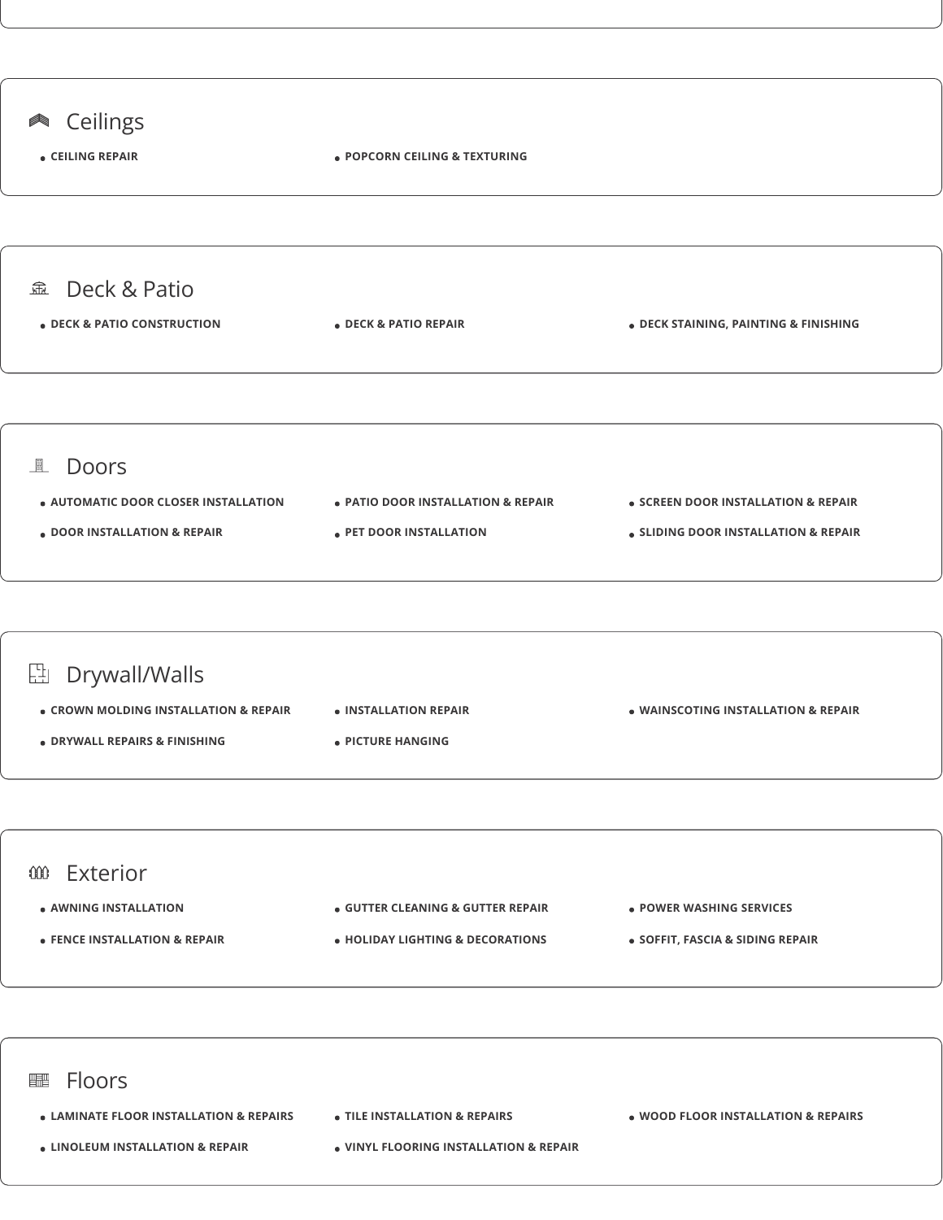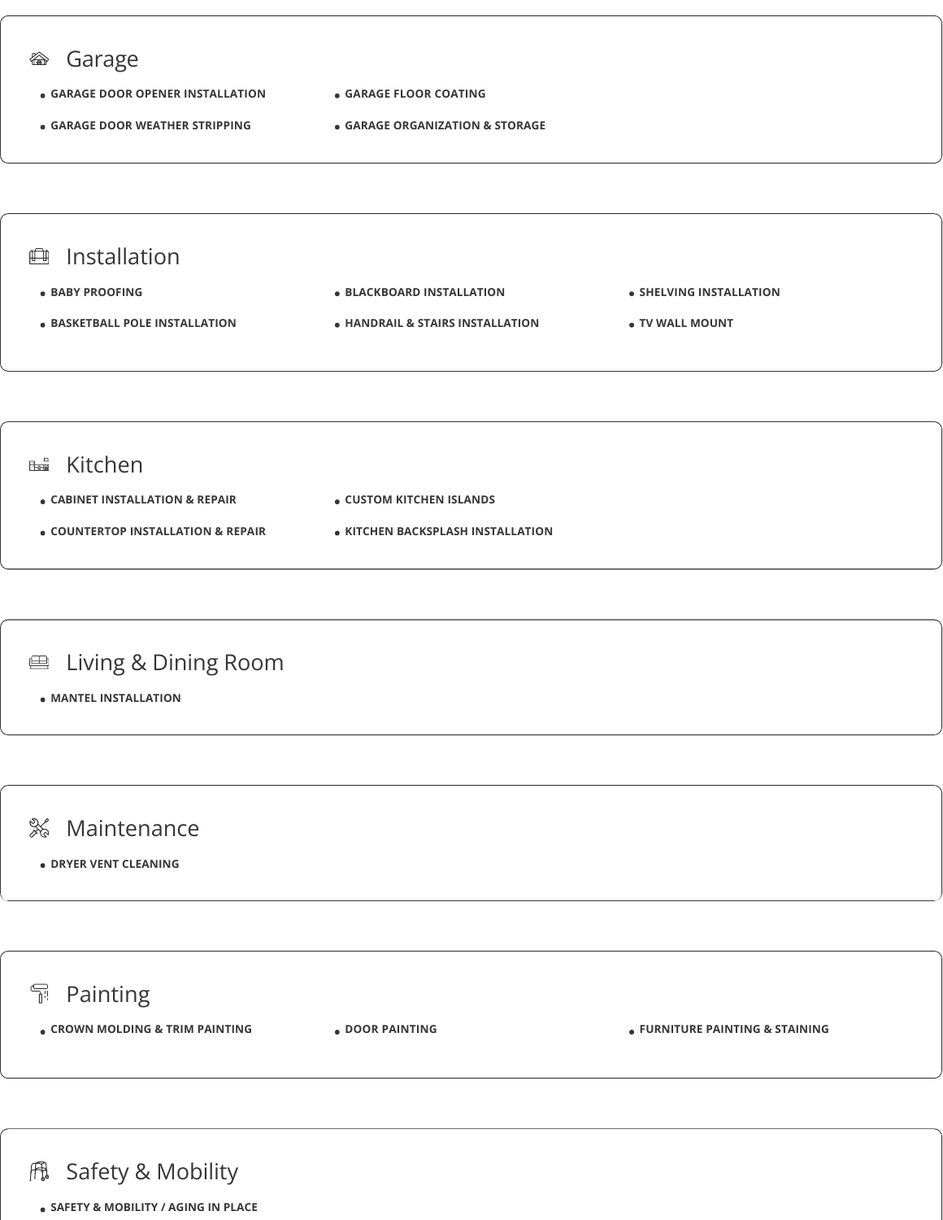

**冊 Safety & Mobility** 

**SAFETY & MOBILITY / AGING IN PLACE**